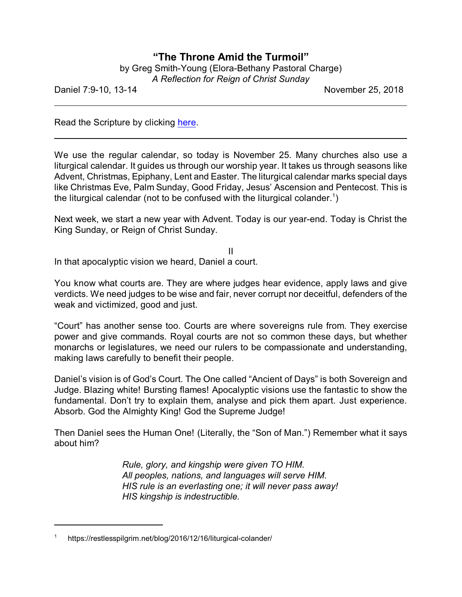## **"The Throne Amid the Turmoil"**

| by Greg Smith-Young (Elora-Bethany Pastoral Charge) |
|-----------------------------------------------------|
| A Reflection for Reign of Christ Sunday             |

Daniel 7:9-10, 13-14 November 25, 2018

Read the Scripture by clicking [here](https://www.biblegateway.com/passage/?search=Daniel+7%3A9-10%2C13-14&version=CEB).

We use the regular calendar, so today is November 25. Many churches also use a liturgical calendar. It guides us through our worship year. It takes us through seasons like Advent, Christmas, Epiphany, Lent and Easter. The liturgical calendar marks special days like Christmas Eve, Palm Sunday, Good Friday, Jesus' Ascension and Pentecost. This is the liturgical calendar (not to be confused with the liturgical colander. $^{\text{1}}$ )

Next week, we start a new year with Advent. Today is our year-end. Today is Christ the King Sunday, or Reign of Christ Sunday.

II In that apocalyptic vision we heard, Daniel a court.

You know what courts are. They are where judges hear evidence, apply laws and give verdicts. We need judges to be wise and fair, never corrupt nor deceitful, defenders of the weak and victimized, good and just.

"Court" has another sense too. Courts are where sovereigns rule from. They exercise power and give commands. Royal courts are not so common these days, but whether monarchs or legislatures, we need our rulers to be compassionate and understanding, making laws carefully to benefit their people.

Daniel's vision is of God's Court. The One called "Ancient of Days" is both Sovereign and Judge. Blazing white! Bursting flames! Apocalyptic visions use the fantastic to show the fundamental. Don't try to explain them, analyse and pick them apart. Just experience. Absorb. God the Almighty King! God the Supreme Judge!

Then Daniel sees the Human One! (Literally, the "Son of Man.") Remember what it says about him?

> *Rule, glory, and kingship were given TO HIM. All peoples, nations, and languages will serve HIM. HIS rule is an everlasting one; it will never pass away! HIS kingship is indestructible.*

<sup>1</sup> https://restlesspilgrim.net/blog/2016/12/16/liturgical-colander/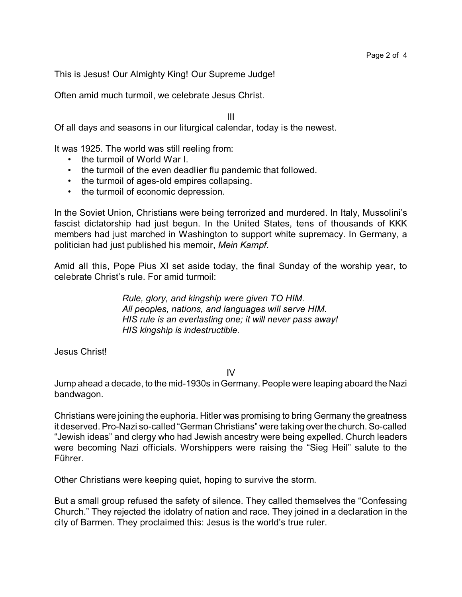This is Jesus! Our Almighty King! Our Supreme Judge!

Often amid much turmoil, we celebrate Jesus Christ.

III

Of all days and seasons in our liturgical calendar, today is the newest.

It was 1925. The world was still reeling from:

- the turmoil of World War I.
- the turmoil of the even deadlier flu pandemic that followed.
- the turmoil of ages-old empires collapsing.
- the turmoil of economic depression.

In the Soviet Union, Christians were being terrorized and murdered. In Italy, Mussolini's fascist dictatorship had just begun. In the United States, tens of thousands of KKK members had just marched in Washington to support white supremacy. In Germany, a politician had just published his memoir, *Mein Kampf*.

Amid all this, Pope Pius XI set aside today, the final Sunday of the worship year, to celebrate Christ's rule. For amid turmoil:

> *Rule, glory, and kingship were given TO HIM. All peoples, nations, and languages will serve HIM. HIS rule is an everlasting one; it will never pass away! HIS kingship is indestructible.*

Jesus Christ!

IV

Jump ahead a decade, to the mid-1930s in Germany. People were leaping aboard the Nazi bandwagon.

Christians were joining the euphoria. Hitler was promising to bring Germany the greatness it deserved. Pro-Nazi so-called "German Christians" were taking overthe church. So-called "Jewish ideas" and clergy who had Jewish ancestry were being expelled. Church leaders were becoming Nazi officials. Worshippers were raising the "Sieg Heil" salute to the Führer.

Other Christians were keeping quiet, hoping to survive the storm.

But a small group refused the safety of silence. They called themselves the "Confessing Church." They rejected the idolatry of nation and race. They joined in a declaration in the city of Barmen. They proclaimed this: Jesus is the world's true ruler.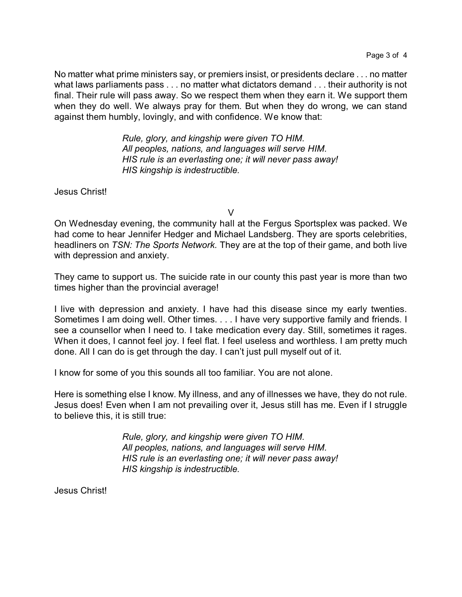No matter what prime ministers say, or premiers insist, or presidents declare . . . no matter what laws parliaments pass . . . no matter what dictators demand . . . their authority is not final. Their rule will pass away. So we respect them when they earn it. We support them when they do well. We always pray for them. But when they do wrong, we can stand against them humbly, lovingly, and with confidence. We know that:

> *Rule, glory, and kingship were given TO HIM. All peoples, nations, and languages will serve HIM. HIS rule is an everlasting one; it will never pass away! HIS kingship is indestructible.*

Jesus Christ!

V

On Wednesday evening, the community hall at the Fergus Sportsplex was packed. We had come to hear Jennifer Hedger and Michael Landsberg. They are sports celebrities, headliners on *TSN: The Sports Network.* They are at the top of their game, and both live with depression and anxiety.

They came to support us. The suicide rate in our county this past year is more than two times higher than the provincial average!

I live with depression and anxiety. I have had this disease since my early twenties. Sometimes I am doing well. Other times. . . . I have very supportive family and friends. I see a counsellor when I need to. I take medication every day. Still, sometimes it rages. When it does, I cannot feel joy. I feel flat. I feel useless and worthless. I am pretty much done. All I can do is get through the day. I can't just pull myself out of it.

I know for some of you this sounds all too familiar. You are not alone.

Here is something else I know. My illness, and any of illnesses we have, they do not rule. Jesus does! Even when I am not prevailing over it, Jesus still has me. Even if I struggle to believe this, it is still true:

> *Rule, glory, and kingship were given TO HIM. All peoples, nations, and languages will serve HIM. HIS rule is an everlasting one; it will never pass away! HIS kingship is indestructible.*

Jesus Christ!